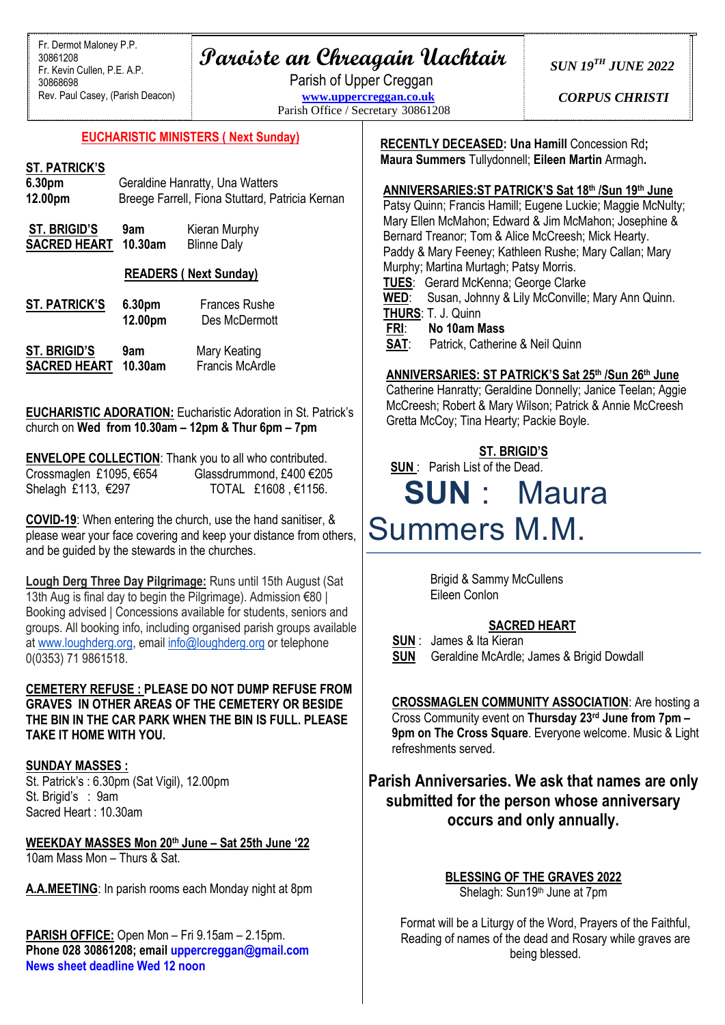## **Paroiste an Chreagain Uachtair**

Parish of Upper Creggan **[www.uppercreggan.co.uk](http://www.uppercreggan.co.uk/)** Parish Office / Secretary 30861208 *SUN 19TH JUNE 2022*

*CORPUS CHRISTI*

#### **EUCHARISTIC MINISTERS ( Next Sunday)**

#### **ST. PATRICK'S**

| 6.30pm  | Geraldine Hanratty, Una Watters                 |
|---------|-------------------------------------------------|
| 12.00pm | Breege Farrell, Fiona Stuttard, Patricia Kernan |

| <b>ST. BRIGID'S</b> | 9am     | Kieran Murphy      |
|---------------------|---------|--------------------|
| <b>SACRED HEART</b> | 10.30am | <b>Blinne Daly</b> |

#### **READERS ( Next Sunday)**

| <b>ST. PATRICK'S</b> | 6.30pm<br>12.00pm | <b>Frances Rushe</b><br>Des McDermott |
|----------------------|-------------------|---------------------------------------|
| <b>ST. BRIGID'S</b>  | 9am               | Mary Keating                          |
| <b>SACRED HEART</b>  | $10.30$ am        | Francis McArdle                       |

**EUCHARISTIC ADORATION:** Eucharistic Adoration in St. Patrick's church on **Wed from 10.30am – 12pm & Thur 6pm – 7pm**

|                         | <b>ENVELOPE COLLECTION:</b> Thank you to all who contributed. |
|-------------------------|---------------------------------------------------------------|
| Crossmaglen £1095, €654 | Glassdrummond, £400 €205                                      |
| Shelagh £113, €297      | TOTAL £1608, €1156.                                           |

**COVID-19**: When entering the church, use the hand sanitiser, & please wear your face covering and keep your distance from others, and be guided by the stewards in the churches.

**Lough Derg Three Day Pilgrimage:** Runs until 15th August (Sat 13th Aug is final day to begin the Pilgrimage). Admission €80 | Booking advised | Concessions available for students, seniors and groups. All booking info, including organised parish groups available at [www.loughderg.org,](http://www.loughderg.org/) email [info@loughderg.org](mailto:info@loughderg.org) or telephone 0(0353) 71 9861518.

#### **CEMETERY REFUSE : PLEASE DO NOT DUMP REFUSE FROM GRAVES IN OTHER AREAS OF THE CEMETERY OR BESIDE THE BIN IN THE CAR PARK WHEN THE BIN IS FULL. PLEASE TAKE IT HOME WITH YOU.**

#### **SUNDAY MASSES :**

St. Patrick's : 6.30pm (Sat Vigil), 12.00pm St. Brigid's : 9am Sacred Heart : 10.30am

**WEEKDAY MASSES Mon 20th June – Sat 25th June '22** 10am Mass Mon – Thurs & Sat.

**A.A.MEETING**: In parish rooms each Monday night at 8pm

**PARISH OFFICE:** Open Mon – Fri 9.15am – 2.15pm. **Phone 028 30861208; email [uppercreggan@gmail.com](mailto:uppercreggan@gmail.com) News sheet deadline Wed 12 noon**

**RECENTLY DECEASED: Una Hamill** Concession Rd**; Maura Summers** Tullydonnell; **Eileen Martin** Armagh**.**

#### **ANNIVERSARIES:ST PATRICK'S Sat 18th /Sun 19th June**

 Patsy Quinn; Francis Hamill; Eugene Luckie; Maggie McNulty; Mary Ellen McMahon; Edward & Jim McMahon; Josephine & Bernard Treanor; Tom & Alice McCreesh; Mick Hearty. Paddy & Mary Feeney; Kathleen Rushe; Mary Callan; Mary Murphy; Martina Murtagh; Patsy Morris. **TUES**: Gerard McKenna; George Clarke **WED**: Susan, Johnny & Lily McConville; Mary Ann Quinn. **THURS**: T. J. Quinn **FRI**: **No 10am Mass SAT**: Patrick, Catherine & Neil Quinn

#### **ANNIVERSARIES: ST PATRICK'S Sat 25th /Sun 26th June**

 Catherine Hanratty; Geraldine Donnelly; Janice Teelan; Aggie McCreesh; Robert & Mary Wilson; Patrick & Annie McCreesh Gretta McCoy; Tina Hearty; Packie Boyle.

#### **ST. BRIGID'S**

**SUN** : Parish List of the Dead.

# **SUN** : Maura Summers M.M.

 Brigid & Sammy McCullens Eileen Conlon

#### **SACRED HEART**

 **SUN** : James & Ita Kieran **SUN** Geraldine McArdle; James & Brigid Dowdall

**CROSSMAGLEN COMMUNITY ASSOCIATION**: Are hosting a Cross Community event on **Thursday 23rd June from 7pm – 9pm on The Cross Square**. Everyone welcome. Music & Light refreshments served.

### **Parish Anniversaries. We ask that names are only submitted for the person whose anniversary occurs and only annually.**

**BLESSING OF THE GRAVES 2022** Shelagh: Sun19<sup>th</sup> June at 7pm

Format will be a Liturgy of the Word, Prayers of the Faithful, Reading of names of the dead and Rosary while graves are being blessed.